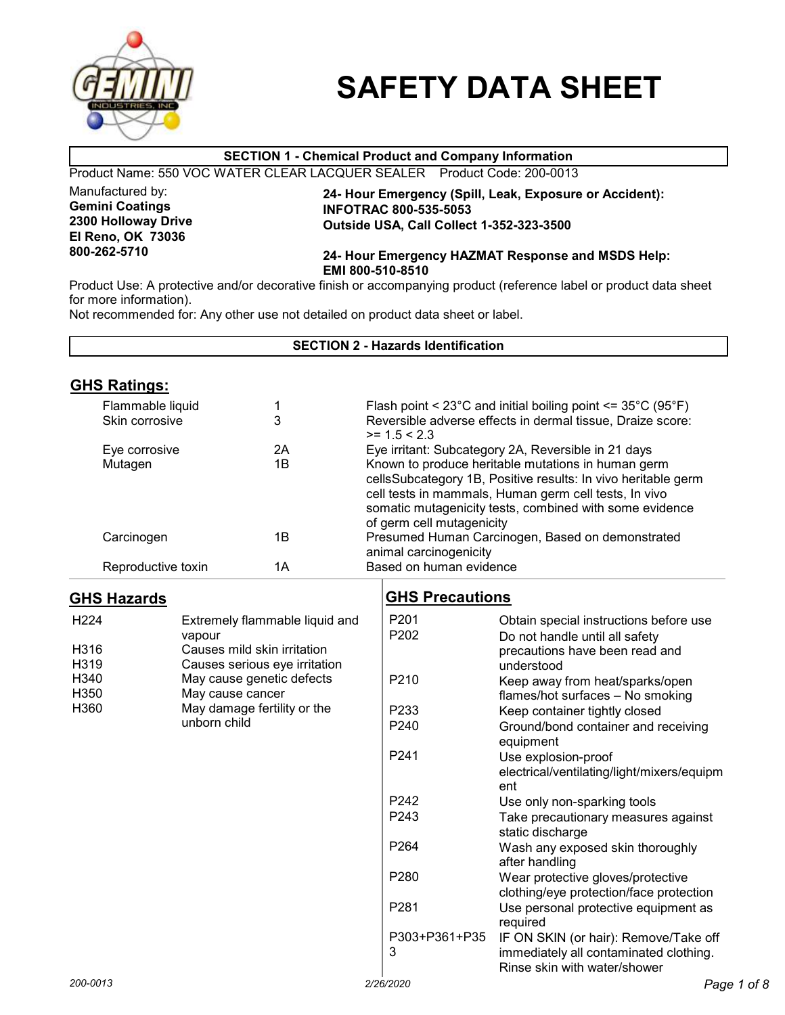

# SAFETY DATA SHEET

#### SECTION 1 - Chemical Product and Company Information Product Name: 550 VOC WATER CLEAR LACQUER SEALER Product Code: 200-0013 Manufactured by: Gemini Coatings 2300 Holloway Drive El Reno, OK 73036 800-262-5710 24- Hour Emergency (Spill, Leak, Exposure or Accident): INFOTRAC 800-535-5053 Outside USA, Call Collect 1-352-323-3500 24- Hour Emergency HAZMAT Response and MSDS Help: EMI 800-510-8510 Product Use: A protective and/or decorative finish or accompanying product (reference label or product data sheet for more information). Not recommended for: Any other use not detailed on product data sheet or label.

| <b>SECTION 2 - Hazards Identification</b>    |                    |                                                                                                                                                          |                                                                                                                                                                                                                                                                      |                                                                                                                          |  |
|----------------------------------------------|--------------------|----------------------------------------------------------------------------------------------------------------------------------------------------------|----------------------------------------------------------------------------------------------------------------------------------------------------------------------------------------------------------------------------------------------------------------------|--------------------------------------------------------------------------------------------------------------------------|--|
| <b>GHS Ratings:</b>                          |                    |                                                                                                                                                          |                                                                                                                                                                                                                                                                      |                                                                                                                          |  |
| Flammable liquid<br>1<br>3<br>Skin corrosive |                    | Flash point < $23^{\circ}$ C and initial boiling point <= $35^{\circ}$ C ( $95^{\circ}$ F)<br>Reversible adverse effects in dermal tissue, Draize score: |                                                                                                                                                                                                                                                                      |                                                                                                                          |  |
|                                              |                    | 2A                                                                                                                                                       | $>= 1.5 < 2.3$                                                                                                                                                                                                                                                       | Eye irritant: Subcategory 2A, Reversible in 21 days                                                                      |  |
| Eye corrosive<br>1B<br>Mutagen               |                    |                                                                                                                                                          | Known to produce heritable mutations in human germ<br>cellsSubcategory 1B, Positive results: In vivo heritable germ<br>cell tests in mammals, Human germ cell tests, In vivo<br>somatic mutagenicity tests, combined with some evidence<br>of germ cell mutagenicity |                                                                                                                          |  |
| Carcinogen                                   |                    | 1B                                                                                                                                                       | Presumed Human Carcinogen, Based on demonstrated                                                                                                                                                                                                                     |                                                                                                                          |  |
|                                              | Reproductive toxin | 1A                                                                                                                                                       | animal carcinogenicity<br>Based on human evidence                                                                                                                                                                                                                    |                                                                                                                          |  |
| <b>GHS Hazards</b>                           |                    |                                                                                                                                                          | <b>GHS Precautions</b>                                                                                                                                                                                                                                               |                                                                                                                          |  |
| H <sub>224</sub><br>H316<br>H319             | vapour             | Extremely flammable liquid and<br>Causes mild skin irritation<br>Causes serious eye irritation                                                           | P201<br>P202                                                                                                                                                                                                                                                         | Obtain special instructions before use<br>Do not handle until all safety<br>precautions have been read and<br>understood |  |
| H340<br>H350                                 | May cause cancer   | May cause genetic defects                                                                                                                                | P210                                                                                                                                                                                                                                                                 | Keep away from heat/sparks/open<br>flames/hot surfaces - No smoking                                                      |  |
| H360                                         |                    | May damage fertility or the                                                                                                                              | P233                                                                                                                                                                                                                                                                 | Keep container tightly closed                                                                                            |  |
|                                              | unborn child       |                                                                                                                                                          | P240                                                                                                                                                                                                                                                                 | Ground/bond container and receiving<br>equipment                                                                         |  |
|                                              |                    |                                                                                                                                                          | P241                                                                                                                                                                                                                                                                 | Use explosion-proof<br>electrical/ventilating/light/mixers/equipm<br>ent                                                 |  |
|                                              |                    |                                                                                                                                                          | P <sub>242</sub>                                                                                                                                                                                                                                                     | Use only non-sparking tools                                                                                              |  |
|                                              |                    |                                                                                                                                                          | P243                                                                                                                                                                                                                                                                 | Take precautionary measures against<br>static discharge                                                                  |  |
|                                              |                    |                                                                                                                                                          | P264                                                                                                                                                                                                                                                                 | Wash any exposed skin thoroughly<br>after handling                                                                       |  |
|                                              |                    |                                                                                                                                                          | P280                                                                                                                                                                                                                                                                 | Wear protective gloves/protective<br>clothing/eye protection/face protection                                             |  |
|                                              |                    |                                                                                                                                                          | P281                                                                                                                                                                                                                                                                 | Use personal protective equipment as<br>required                                                                         |  |
|                                              |                    |                                                                                                                                                          | P303+P361+P35<br>3                                                                                                                                                                                                                                                   | IF ON SKIN (or hair): Remove/Take off<br>immediately all contaminated clothing.<br>Rinse skin with water/shower          |  |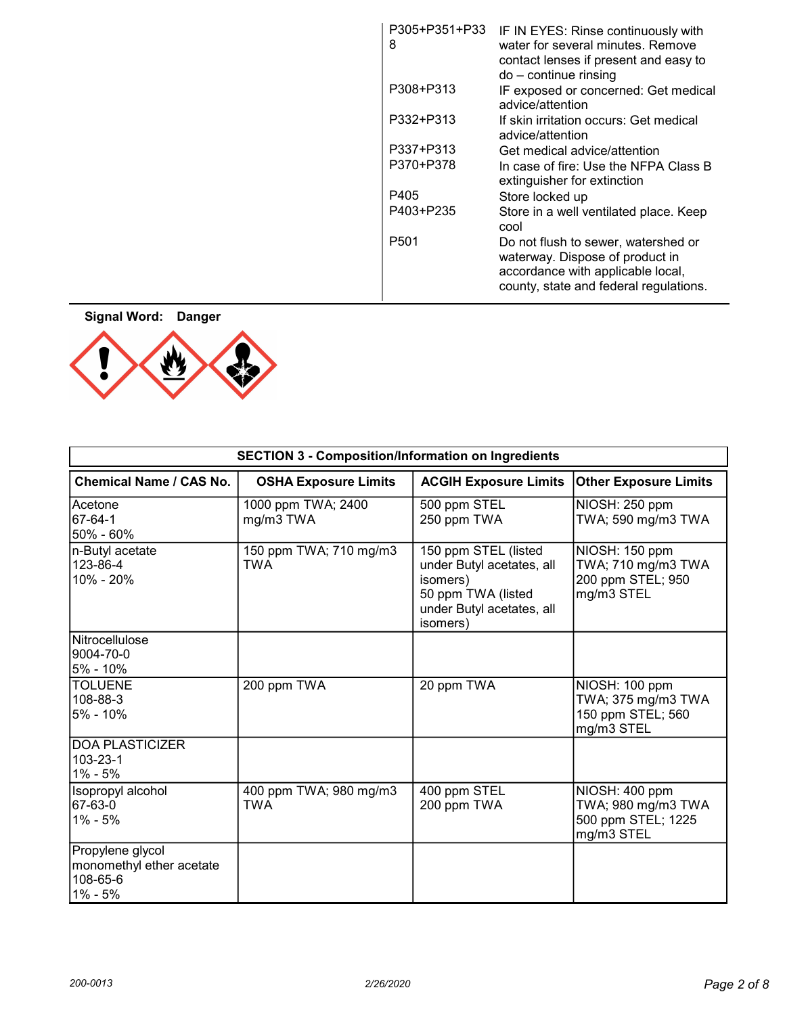| P305+P351+P33<br>8 | IF IN EYES: Rinse continuously with<br>water for several minutes. Remove<br>contact lenses if present and easy to<br>$do$ – continue rinsing          |
|--------------------|-------------------------------------------------------------------------------------------------------------------------------------------------------|
| P308+P313          | IF exposed or concerned: Get medical<br>advice/attention                                                                                              |
| P332+P313          | If skin irritation occurs: Get medical<br>advice/attention                                                                                            |
| P337+P313          | Get medical advice/attention                                                                                                                          |
| P370+P378          | In case of fire: Use the NFPA Class B<br>extinguisher for extinction                                                                                  |
| P405               | Store locked up                                                                                                                                       |
| P403+P235          | Store in a well ventilated place. Keep<br>cool                                                                                                        |
| P501               | Do not flush to sewer, watershed or<br>waterway. Dispose of product in<br>accordance with applicable local,<br>county, state and federal regulations. |
|                    |                                                                                                                                                       |

Signal Word: Danger



| <b>SECTION 3 - Composition/Information on Ingredients</b>           |                                      |                                                                                                                              |                                                                          |
|---------------------------------------------------------------------|--------------------------------------|------------------------------------------------------------------------------------------------------------------------------|--------------------------------------------------------------------------|
| Chemical Name / CAS No.                                             | <b>OSHA Exposure Limits</b>          | <b>ACGIH Exposure Limits</b>                                                                                                 | <b>Other Exposure Limits</b>                                             |
| Acetone<br>67-64-1<br>50% - 60%                                     | 1000 ppm TWA; 2400<br>mg/m3 TWA      | 500 ppm STEL<br>250 ppm TWA                                                                                                  | NIOSH: 250 ppm<br>TWA; 590 mg/m3 TWA                                     |
| n-Butyl acetate<br>123-86-4<br> 10% - 20%                           | 150 ppm TWA; 710 mg/m3<br>TWA        | 150 ppm STEL (listed<br>under Butyl acetates, all<br>isomers)<br>50 ppm TWA (listed<br>under Butyl acetates, all<br>isomers) | NIOSH: 150 ppm<br>TWA; 710 mg/m3 TWA<br>200 ppm STEL; 950<br>mg/m3 STEL  |
| Nitrocellulose<br>9004-70-0<br>5% - 10%                             |                                      |                                                                                                                              |                                                                          |
| <b>TOLUENE</b><br>108-88-3<br>5% - 10%                              | 200 ppm TWA                          | 20 ppm TWA                                                                                                                   | NIOSH: 100 ppm<br>TWA; 375 mg/m3 TWA<br>150 ppm STEL; 560<br>mg/m3 STEL  |
| <b>DOA PLASTICIZER</b><br>103-23-1<br>1% - 5%                       |                                      |                                                                                                                              |                                                                          |
| Isopropyl alcohol<br>67-63-0<br> 1% - 5%                            | 400 ppm TWA; 980 mg/m3<br><b>TWA</b> | 400 ppm STEL<br>200 ppm TWA                                                                                                  | NIOSH: 400 ppm<br>TWA; 980 mg/m3 TWA<br>500 ppm STEL; 1225<br>mg/m3 STEL |
| Propylene glycol<br>monomethyl ether acetate<br>108-65-6<br>1% - 5% |                                      |                                                                                                                              |                                                                          |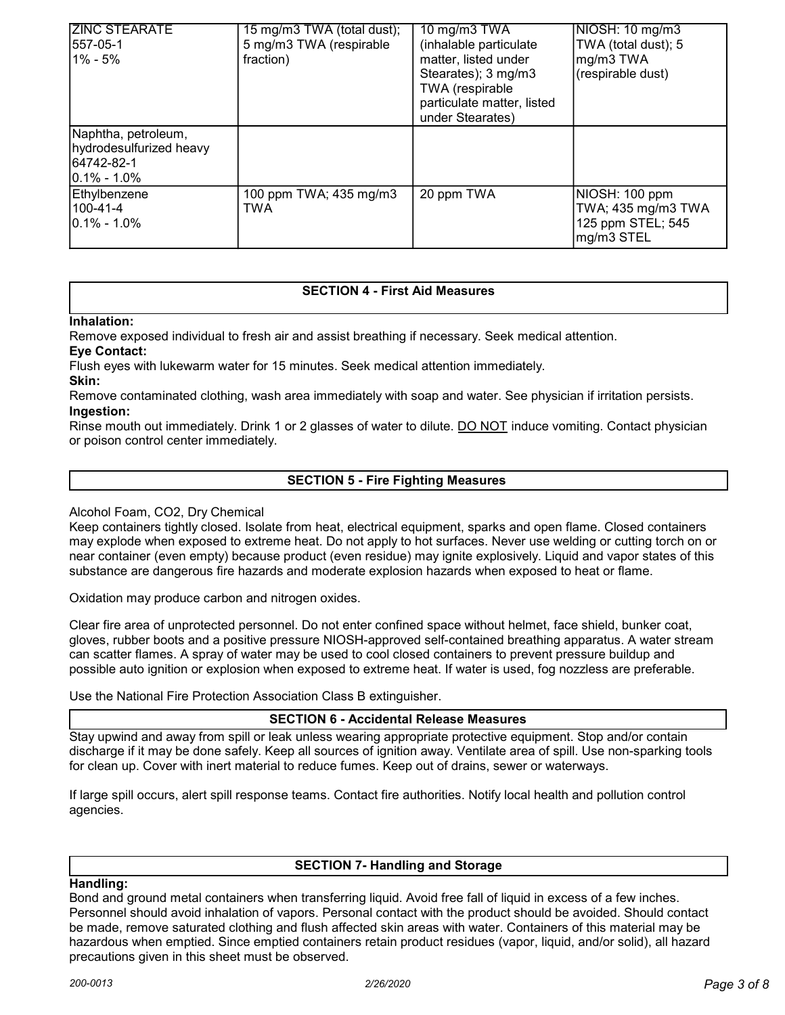| <b>ZINC STEARATE</b><br>557-05-1<br><b>1% - 5%</b>                               | 15 mg/m3 TWA (total dust);<br>5 mg/m3 TWA (respirable<br>fraction) | 10 mg/m3 TWA<br>(inhalable particulate<br>matter, listed under<br>Stearates); 3 mg/m3<br>TWA (respirable<br>particulate matter, listed<br>under Stearates) | NIOSH: 10 mg/m3<br>TWA (total dust); 5<br>mg/m3 TWA<br>(respirable dust) |
|----------------------------------------------------------------------------------|--------------------------------------------------------------------|------------------------------------------------------------------------------------------------------------------------------------------------------------|--------------------------------------------------------------------------|
| Naphtha, petroleum,<br>hydrodesulfurized heavy<br>64742-82-1<br>$ 0.1\% - 1.0\%$ |                                                                    |                                                                                                                                                            |                                                                          |
| Ethylbenzene<br>100-41-4<br>$10.1\% - 1.0\%$                                     | 100 ppm TWA; 435 mg/m3<br>TWA                                      | 20 ppm TWA                                                                                                                                                 | NIOSH: 100 ppm<br>TWA; 435 mg/m3 TWA<br>125 ppm STEL; 545<br>mg/m3 STEL  |

## SECTION 4 - First Aid Measures

Inhalation:

Remove exposed individual to fresh air and assist breathing if necessary. Seek medical attention.

Eye Contact:

Flush eyes with lukewarm water for 15 minutes. Seek medical attention immediately. Skin:

Remove contaminated clothing, wash area immediately with soap and water. See physician if irritation persists. Ingestion:

Rinse mouth out immediately. Drink 1 or 2 glasses of water to dilute. DO NOT induce vomiting. Contact physician or poison control center immediately.

## SECTION 5 - Fire Fighting Measures

## Alcohol Foam, CO2, Dry Chemical

Keep containers tightly closed. Isolate from heat, electrical equipment, sparks and open flame. Closed containers may explode when exposed to extreme heat. Do not apply to hot surfaces. Never use welding or cutting torch on or near container (even empty) because product (even residue) may ignite explosively. Liquid and vapor states of this substance are dangerous fire hazards and moderate explosion hazards when exposed to heat or flame.

Oxidation may produce carbon and nitrogen oxides.

Clear fire area of unprotected personnel. Do not enter confined space without helmet, face shield, bunker coat, gloves, rubber boots and a positive pressure NIOSH-approved self-contained breathing apparatus. A water stream can scatter flames. A spray of water may be used to cool closed containers to prevent pressure buildup and possible auto ignition or explosion when exposed to extreme heat. If water is used, fog nozzless are preferable.

Use the National Fire Protection Association Class B extinguisher.

SECTION 6 - Accidental Release Measures

Stay upwind and away from spill or leak unless wearing appropriate protective equipment. Stop and/or contain discharge if it may be done safely. Keep all sources of ignition away. Ventilate area of spill. Use non-sparking tools for clean up. Cover with inert material to reduce fumes. Keep out of drains, sewer or waterways.

If large spill occurs, alert spill response teams. Contact fire authorities. Notify local health and pollution control agencies.

## SECTION 7- Handling and Storage

## Handling:

Bond and ground metal containers when transferring liquid. Avoid free fall of liquid in excess of a few inches. Personnel should avoid inhalation of vapors. Personal contact with the product should be avoided. Should contact be made, remove saturated clothing and flush affected skin areas with water. Containers of this material may be hazardous when emptied. Since emptied containers retain product residues (vapor, liquid, and/or solid), all hazard precautions given in this sheet must be observed.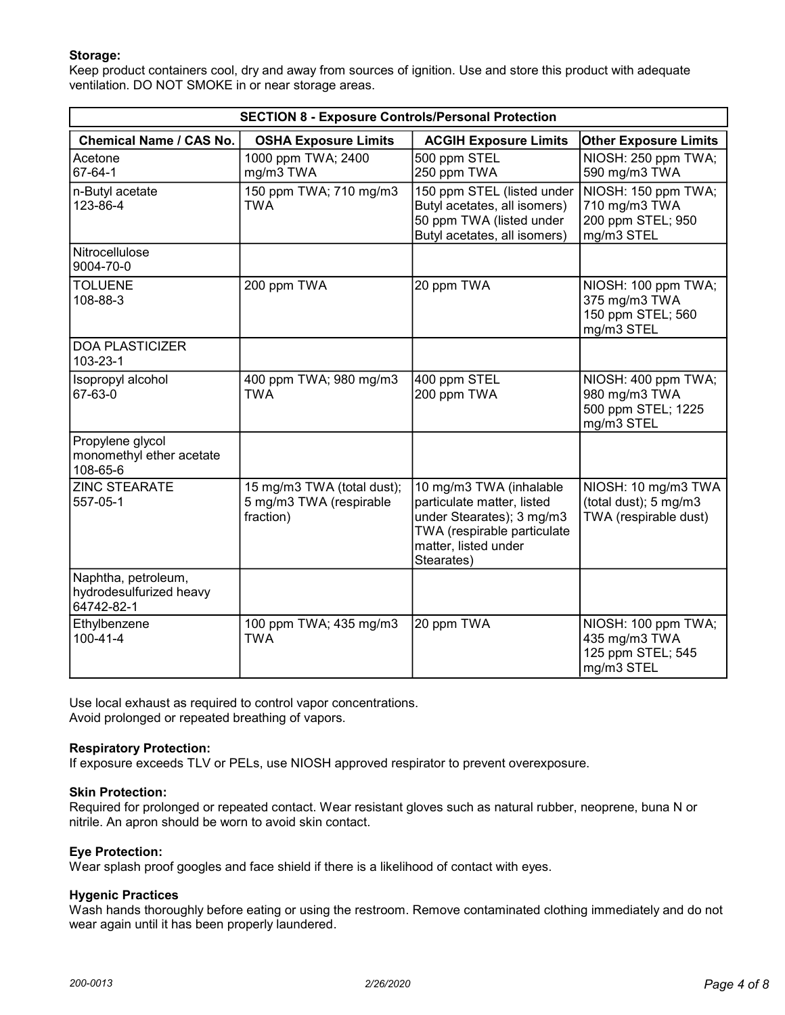## Storage:

Keep product containers cool, dry and away from sources of ignition. Use and store this product with adequate ventilation. DO NOT SMOKE in or near storage areas.

| <b>SECTION 8 - Exposure Controls/Personal Protection</b>     |                                                                    |                                                                                                                                                                                                   |                                                                          |
|--------------------------------------------------------------|--------------------------------------------------------------------|---------------------------------------------------------------------------------------------------------------------------------------------------------------------------------------------------|--------------------------------------------------------------------------|
| Chemical Name / CAS No.                                      | <b>OSHA Exposure Limits</b>                                        | <b>ACGIH Exposure Limits</b>                                                                                                                                                                      | <b>Other Exposure Limits</b>                                             |
| Acetone<br>67-64-1                                           | 1000 ppm TWA; 2400<br>mg/m3 TWA                                    | 500 ppm STEL<br>250 ppm TWA                                                                                                                                                                       | NIOSH: 250 ppm TWA;<br>590 mg/m3 TWA                                     |
| n-Butyl acetate<br>123-86-4                                  | 150 ppm TWA; 710 mg/m3<br><b>TWA</b>                               | 150 ppm STEL (listed under<br>NIOSH: 150 ppm TWA;<br>Butyl acetates, all isomers)<br>710 mg/m3 TWA<br>50 ppm TWA (listed under<br>200 ppm STEL; 950<br>Butyl acetates, all isomers)<br>mg/m3 STEL |                                                                          |
| Nitrocellulose<br>9004-70-0                                  |                                                                    |                                                                                                                                                                                                   |                                                                          |
| <b>TOLUENE</b><br>108-88-3                                   | 200 ppm TWA                                                        | 20 ppm TWA                                                                                                                                                                                        | NIOSH: 100 ppm TWA;<br>375 mg/m3 TWA<br>150 ppm STEL; 560<br>mg/m3 STEL  |
| <b>DOA PLASTICIZER</b><br>103-23-1                           |                                                                    |                                                                                                                                                                                                   |                                                                          |
| Isopropyl alcohol<br>67-63-0                                 | 400 ppm TWA; 980 mg/m3<br><b>TWA</b>                               | 400 ppm STEL<br>200 ppm TWA                                                                                                                                                                       | NIOSH: 400 ppm TWA;<br>980 mg/m3 TWA<br>500 ppm STEL; 1225<br>mg/m3 STEL |
| Propylene glycol<br>monomethyl ether acetate<br>108-65-6     |                                                                    |                                                                                                                                                                                                   |                                                                          |
| <b>ZINC STEARATE</b><br>557-05-1                             | 15 mg/m3 TWA (total dust);<br>5 mg/m3 TWA (respirable<br>fraction) | 10 mg/m3 TWA (inhalable<br>particulate matter, listed<br>under Stearates); 3 mg/m3<br>TWA (respirable particulate<br>matter, listed under<br>Stearates)                                           | NIOSH: 10 mg/m3 TWA<br>(total dust); 5 mg/m3<br>TWA (respirable dust)    |
| Naphtha, petroleum,<br>hydrodesulfurized heavy<br>64742-82-1 |                                                                    |                                                                                                                                                                                                   |                                                                          |
| Ethylbenzene<br>100-41-4                                     | 100 ppm TWA; 435 mg/m3<br><b>TWA</b>                               | 20 ppm TWA                                                                                                                                                                                        | NIOSH: 100 ppm TWA;<br>435 mg/m3 TWA<br>125 ppm STEL; 545<br>mg/m3 STEL  |

Use local exhaust as required to control vapor concentrations. Avoid prolonged or repeated breathing of vapors.

## Respiratory Protection:

If exposure exceeds TLV or PELs, use NIOSH approved respirator to prevent overexposure.

## Skin Protection:

Required for prolonged or repeated contact. Wear resistant gloves such as natural rubber, neoprene, buna N or nitrile. An apron should be worn to avoid skin contact.

## Eye Protection:

Wear splash proof googles and face shield if there is a likelihood of contact with eyes.

## Hygenic Practices

Wash hands thoroughly before eating or using the restroom. Remove contaminated clothing immediately and do not wear again until it has been properly laundered.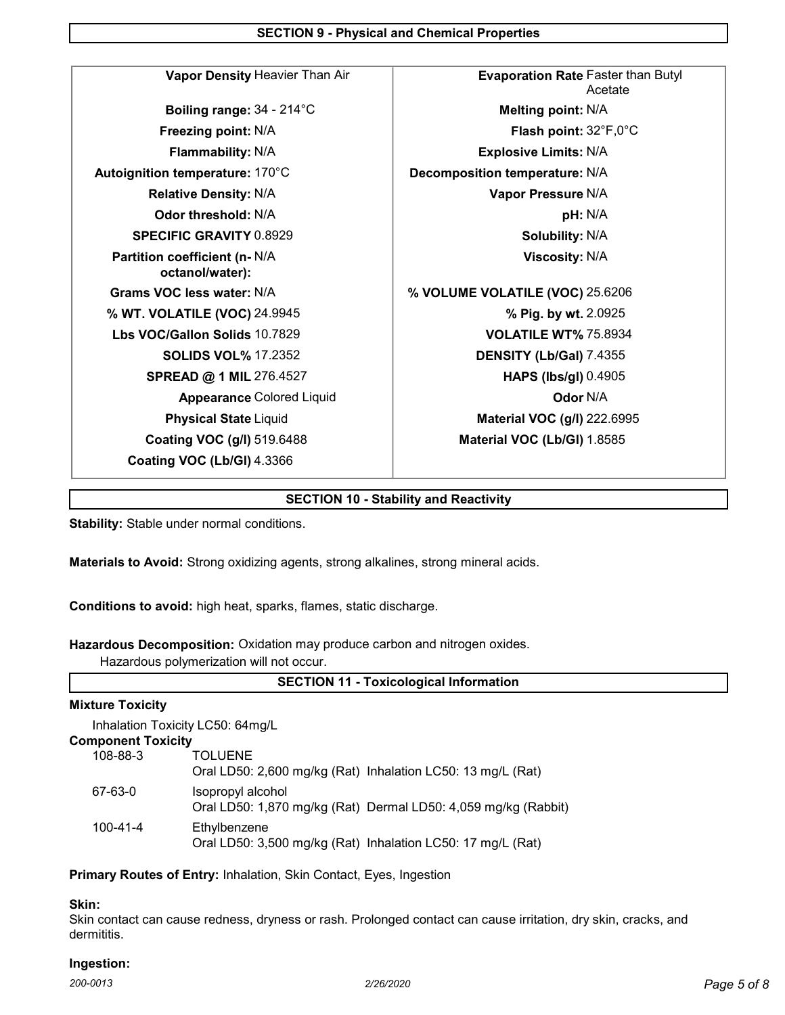SECTION 9 - Physical and Chemical Properties

| Vapor Density Heavier Than Air                   | <b>Evaporation Rate Faster than Butyl</b><br>Acetate |  |
|--------------------------------------------------|------------------------------------------------------|--|
| Boiling range: 34 - 214°C                        | Melting point: N/A                                   |  |
| Freezing point: N/A                              | <b>Flash point:</b> $32^{\circ}F,0^{\circ}C$         |  |
| Flammability: N/A                                | <b>Explosive Limits: N/A</b>                         |  |
| Autoignition temperature: 170°C                  | Decomposition temperature: N/A                       |  |
| <b>Relative Density: N/A</b>                     | Vapor Pressure N/A                                   |  |
| Odor threshold: N/A                              | pH: N/A                                              |  |
| <b>SPECIFIC GRAVITY 0.8929</b>                   | <b>Solubility: N/A</b>                               |  |
| Partition coefficient (n- N/A<br>octanol/water): | <b>Viscosity: N/A</b>                                |  |
| Grams VOC less water: N/A                        | % VOLUME VOLATILE (VOC) 25.6206                      |  |
| % WT. VOLATILE (VOC) 24.9945                     | % Pig. by wt. 2.0925                                 |  |
| Lbs VOC/Gallon Solids 10.7829                    | <b>VOLATILE WT% 75.8934</b>                          |  |
| <b>SOLIDS VOL% 17.2352</b>                       | DENSITY (Lb/Gal) 7.4355                              |  |
| SPREAD @ 1 MIL 276.4527                          | <b>HAPS (lbs/gl) 0.4905</b>                          |  |
| <b>Appearance Colored Liquid</b>                 | Odor N/A                                             |  |
| <b>Physical State Liquid</b>                     | <b>Material VOC (g/l) 222.6995</b>                   |  |
| <b>Coating VOC (g/l) 519.6488</b>                | Material VOC (Lb/GI) 1.8585                          |  |
| Coating VOC (Lb/GI) 4.3366                       |                                                      |  |
|                                                  |                                                      |  |

## SECTION 10 - Stability and Reactivity

Stability: Stable under normal conditions.

Materials to Avoid: Strong oxidizing agents, strong alkalines, strong mineral acids.

Conditions to avoid: high heat, sparks, flames, static discharge.

Hazardous Decomposition: Oxidation may produce carbon and nitrogen oxides.

Hazardous polymerization will not occur.

## SECTION 11 - Toxicological Information

## Mixture Toxicity

Inhalation Toxicity LC50: 64mg/L

## Component Toxicity

| 108-88-3 | <b>TOLUENE</b><br>Oral LD50: 2,600 mg/kg (Rat) Inhalation LC50: 13 mg/L (Rat)       |
|----------|-------------------------------------------------------------------------------------|
| 67-63-0  | Isopropyl alcohol<br>Oral LD50: 1,870 mg/kg (Rat) Dermal LD50: 4,059 mg/kg (Rabbit) |
| 100-41-4 | Ethylbenzene<br>Oral LD50: 3,500 mg/kg (Rat) Inhalation LC50: 17 mg/L (Rat)         |

## Primary Routes of Entry: Inhalation, Skin Contact, Eyes, Ingestion

### Skin:

Skin contact can cause redness, dryness or rash. Prolonged contact can cause irritation, dry skin, cracks, and dermititis.

## Ingestion: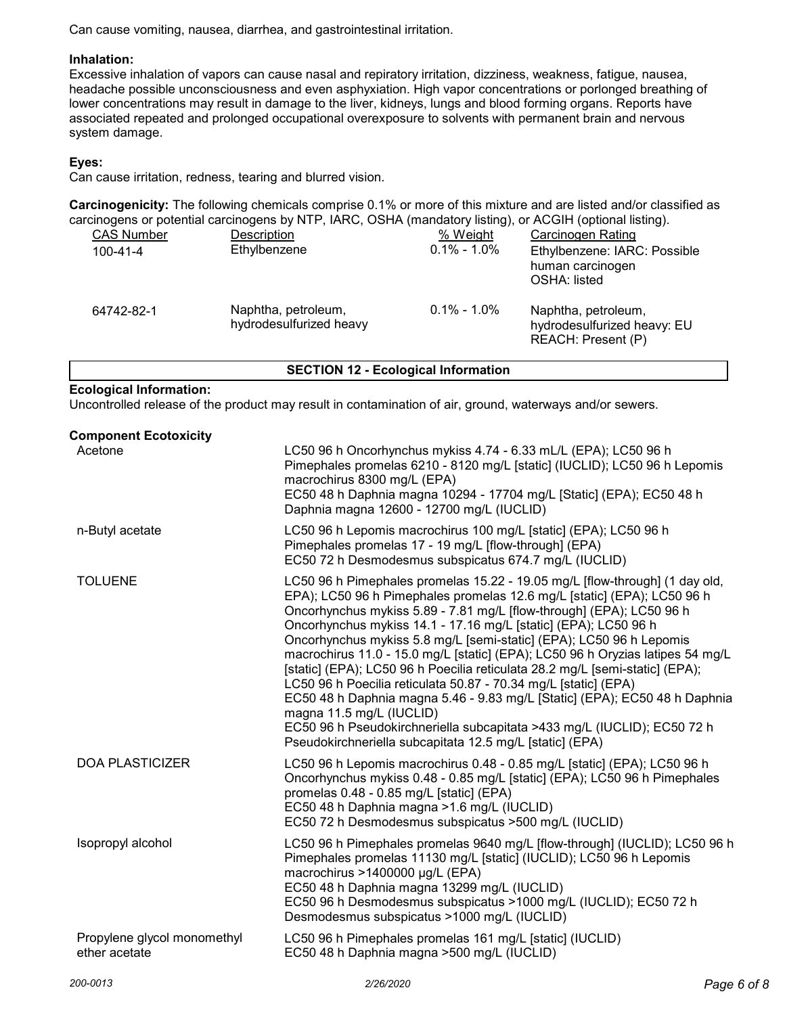Can cause vomiting, nausea, diarrhea, and gastrointestinal irritation.

## Inhalation:

Excessive inhalation of vapors can cause nasal and repiratory irritation, dizziness, weakness, fatigue, nausea, headache possible unconsciousness and even asphyxiation. High vapor concentrations or porlonged breathing of lower concentrations may result in damage to the liver, kidneys, lungs and blood forming organs. Reports have associated repeated and prolonged occupational overexposure to solvents with permanent brain and nervous system damage.

## Eyes:

Can cause irritation, redness, tearing and blurred vision.

Carcinogenicity: The following chemicals comprise 0.1% or more of this mixture and are listed and/or classified as carcinogens or potential carcinogens by NTP, IARC, OSHA (mandatory listing), or ACGIH (optional listing).

| <b>CAS Number</b> | Description                                    | % Weight        | Carcinogen Rating                                                        |
|-------------------|------------------------------------------------|-----------------|--------------------------------------------------------------------------|
| $100 - 41 - 4$    | Ethylbenzene                                   | $0.1\% - 1.0\%$ | Ethylbenzene: IARC: Possible<br>human carcinogen<br>OSHA: listed         |
| 64742-82-1        | Naphtha, petroleum,<br>hydrodesulfurized heavy | $0.1\% - 1.0\%$ | Naphtha, petroleum,<br>hydrodesulfurized heavy: EU<br>REACH: Present (P) |

## SECTION 12 - Ecological Information

## Ecological Information:

Uncontrolled release of the product may result in contamination of air, ground, waterways and/or sewers.

| <b>Component Ecotoxicity</b><br>Acetone      | LC50 96 h Oncorhynchus mykiss 4.74 - 6.33 mL/L (EPA); LC50 96 h<br>Pimephales promelas 6210 - 8120 mg/L [static] (IUCLID); LC50 96 h Lepomis<br>macrochirus 8300 mg/L (EPA)<br>EC50 48 h Daphnia magna 10294 - 17704 mg/L [Static] (EPA); EC50 48 h<br>Daphnia magna 12600 - 12700 mg/L (IUCLID)                                                                                                                                                                                                                                                                                                                                                                                                                                                                                                                                                               |
|----------------------------------------------|----------------------------------------------------------------------------------------------------------------------------------------------------------------------------------------------------------------------------------------------------------------------------------------------------------------------------------------------------------------------------------------------------------------------------------------------------------------------------------------------------------------------------------------------------------------------------------------------------------------------------------------------------------------------------------------------------------------------------------------------------------------------------------------------------------------------------------------------------------------|
| n-Butyl acetate                              | LC50 96 h Lepomis macrochirus 100 mg/L [static] (EPA); LC50 96 h<br>Pimephales promelas 17 - 19 mg/L [flow-through] (EPA)<br>EC50 72 h Desmodesmus subspicatus 674.7 mg/L (IUCLID)                                                                                                                                                                                                                                                                                                                                                                                                                                                                                                                                                                                                                                                                             |
| <b>TOLUENE</b>                               | LC50 96 h Pimephales promelas 15.22 - 19.05 mg/L [flow-through] (1 day old,<br>EPA); LC50 96 h Pimephales promelas 12.6 mg/L [static] (EPA); LC50 96 h<br>Oncorhynchus mykiss 5.89 - 7.81 mg/L [flow-through] (EPA); LC50 96 h<br>Oncorhynchus mykiss 14.1 - 17.16 mg/L [static] (EPA); LC50 96 h<br>Oncorhynchus mykiss 5.8 mg/L [semi-static] (EPA); LC50 96 h Lepomis<br>macrochirus 11.0 - 15.0 mg/L [static] (EPA); LC50 96 h Oryzias latipes 54 mg/L<br>[static] (EPA); LC50 96 h Poecilia reticulata 28.2 mg/L [semi-static] (EPA);<br>LC50 96 h Poecilia reticulata 50.87 - 70.34 mg/L [static] (EPA)<br>EC50 48 h Daphnia magna 5.46 - 9.83 mg/L [Static] (EPA); EC50 48 h Daphnia<br>magna 11.5 mg/L (IUCLID)<br>EC50 96 h Pseudokirchneriella subcapitata >433 mg/L (IUCLID); EC50 72 h<br>Pseudokirchneriella subcapitata 12.5 mg/L [static] (EPA) |
| <b>DOA PLASTICIZER</b>                       | LC50 96 h Lepomis macrochirus 0.48 - 0.85 mg/L [static] (EPA); LC50 96 h<br>Oncorhynchus mykiss 0.48 - 0.85 mg/L [static] (EPA); LC50 96 h Pimephales<br>promelas 0.48 - 0.85 mg/L [static] (EPA)<br>EC50 48 h Daphnia magna > 1.6 mg/L (IUCLID)<br>EC50 72 h Desmodesmus subspicatus >500 mg/L (IUCLID)                                                                                                                                                                                                                                                                                                                                                                                                                                                                                                                                                       |
| Isopropyl alcohol                            | LC50 96 h Pimephales promelas 9640 mg/L [flow-through] (IUCLID); LC50 96 h<br>Pimephales promelas 11130 mg/L [static] (IUCLID); LC50 96 h Lepomis<br>macrochirus >1400000 µg/L (EPA)<br>EC50 48 h Daphnia magna 13299 mg/L (IUCLID)<br>EC50 96 h Desmodesmus subspicatus >1000 mg/L (IUCLID); EC50 72 h<br>Desmodesmus subspicatus >1000 mg/L (IUCLID)                                                                                                                                                                                                                                                                                                                                                                                                                                                                                                         |
| Propylene glycol monomethyl<br>ether acetate | LC50 96 h Pimephales promelas 161 mg/L [static] (IUCLID)<br>EC50 48 h Daphnia magna >500 mg/L (IUCLID)                                                                                                                                                                                                                                                                                                                                                                                                                                                                                                                                                                                                                                                                                                                                                         |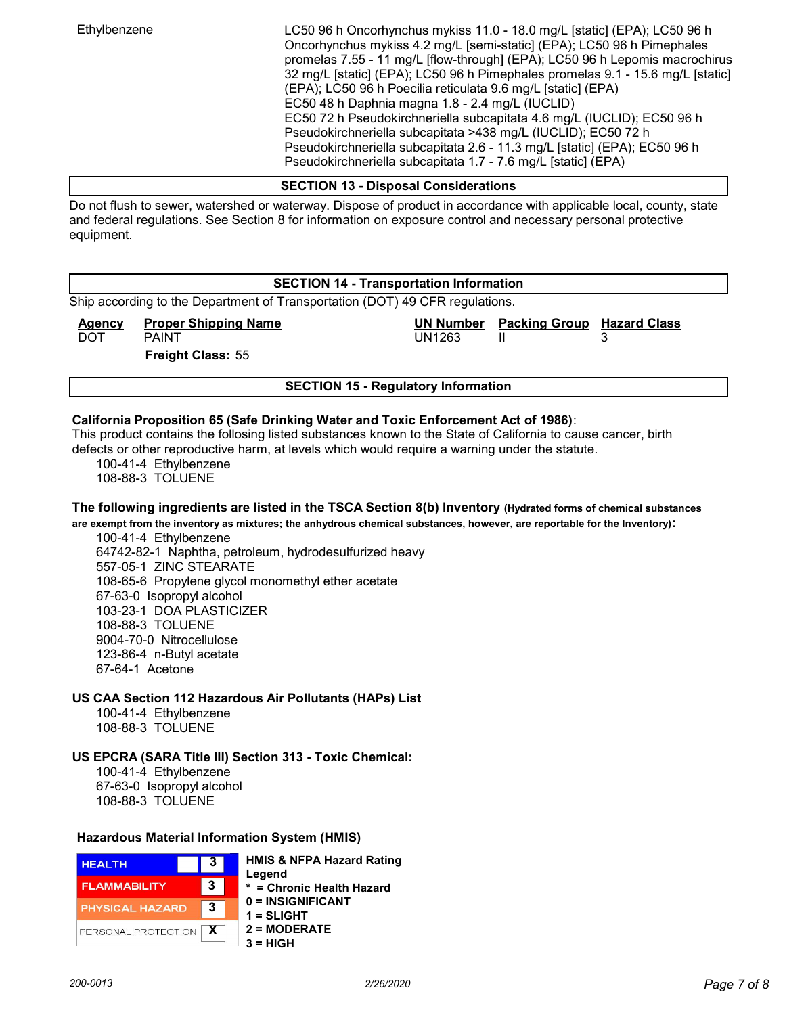Ethylbenzene LC50 96 h Oncorhynchus mykiss 11.0 - 18.0 mg/L [static] (EPA); LC50 96 h Oncorhynchus mykiss 4.2 mg/L [semi-static] (EPA); LC50 96 h Pimephales promelas 7.55 - 11 mg/L [flow-through] (EPA); LC50 96 h Lepomis macrochirus 32 mg/L [static] (EPA); LC50 96 h Pimephales promelas 9.1 - 15.6 mg/L [static] (EPA); LC50 96 h Poecilia reticulata 9.6 mg/L [static] (EPA) EC50 48 h Daphnia magna 1.8 - 2.4 mg/L (IUCLID) EC50 72 h Pseudokirchneriella subcapitata 4.6 mg/L (IUCLID); EC50 96 h Pseudokirchneriella subcapitata >438 mg/L (IUCLID); EC50 72 h Pseudokirchneriella subcapitata 2.6 - 11.3 mg/L [static] (EPA); EC50 96 h Pseudokirchneriella subcapitata 1.7 - 7.6 mg/L [static] (EPA)

#### SECTION 13 - Disposal Considerations

Do not flush to sewer, watershed or waterway. Dispose of product in accordance with applicable local, county, state and federal regulations. See Section 8 for information on exposure control and necessary personal protective equipment.

## SECTION 14 - Transportation Information

Ship according to the Department of Transportation (DOT) 49 CFR regulations.

**Agency** Proper Shipping Name Name UN Number Packing Group Hazard Class DOT PAINT PAINT NOT BEEN UNITED STATES OF THE UNITED STATES OF THE UNITED STATES OF THE UNITED STATES OF THE U

Freight Class: 55

## SECTION 15 - Regulatory Information

## California Proposition 65 (Safe Drinking Water and Toxic Enforcement Act of 1986):

This product contains the follosing listed substances known to the State of California to cause cancer, birth defects or other reproductive harm, at levels which would require a warning under the statute.

100-41-4 Ethylbenzene

108-88-3 TOLUENE

## The following ingredients are listed in the TSCA Section 8(b) Inventory (Hydrated forms of chemical substances

are exempt from the inventory as mixtures; the anhydrous chemical substances, however, are reportable for the Inventory): 100-41-4 Ethylbenzene

64742-82-1 Naphtha, petroleum, hydrodesulfurized heavy 557-05-1 ZINC STEARATE 108-65-6 Propylene glycol monomethyl ether acetate 67-63-0 Isopropyl alcohol 103-23-1 DOA PLASTICIZER 108-88-3 TOLUENE 9004-70-0 Nitrocellulose 123-86-4 n-Butyl acetate 67-64-1 Acetone

US CAA Section 112 Hazardous Air Pollutants (HAPs) List

100-41-4 Ethylbenzene 108-88-3 TOLUENE

US EPCRA (SARA Title III) Section 313 - Toxic Chemical:

100-41-4 Ethylbenzene 67-63-0 Isopropyl alcohol 108-88-3 TOLUENE

#### Hazardous Material Information System (HMIS)